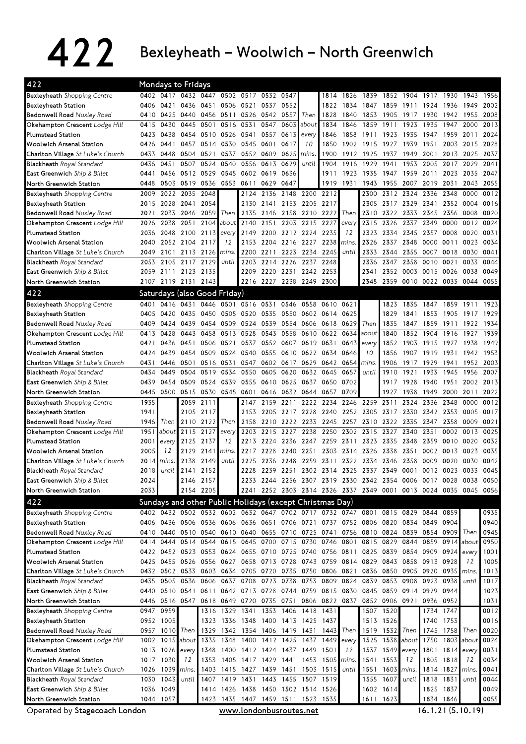## $422$  Bexleyheath – Woolwich – North Greenwich

| 422                                                                   |      | Mondays to Fridays                                                              |                |           |                |                |                                    |           |           |                                                                                 |           |           |                |                     |           |                        |            |      |
|-----------------------------------------------------------------------|------|---------------------------------------------------------------------------------|----------------|-----------|----------------|----------------|------------------------------------|-----------|-----------|---------------------------------------------------------------------------------|-----------|-----------|----------------|---------------------|-----------|------------------------|------------|------|
| Bexleyheath Shopping Centre                                           |      | 0402 0417 0432 0447                                                             |                |           |                | 0502 0517 0532 |                                    | 0547      |           | 1814                                                                            | 1826      | 1839      | 1852 1904      |                     | 1917 1930 |                        | 1943       | 1956 |
| Bexleyheath Station                                                   | 0406 | 0421                                                                            | 0436           | 0451      | 0506 0521      |                | 0537                               | 0552      |           | 1822                                                                            | 1834      | 1847      | 1859           | 1911                | 1924      | 1936                   | 1949       | 2002 |
| Bedonwell Road Nuxley Road                                            | 0410 | 0425 0440                                                                       |                |           | 0456 0511      | 0526           | 0542                               | 0557      | Then      | 1828                                                                            | 1840      | 1853      | 1905           | 1917                | 1930      | 1942                   | 1955       | 2008 |
| Okehampton Crescent Lodge Hill                                        | 0415 | 0430                                                                            | 0445           | 0501      | 0516 0531      |                | 0547                               | 0603      | about     | 1834                                                                            | 1846      | 1859      | 1911           | 1923                | 1935      | 1947                   | 2000       | 2013 |
| <b>Plumstead Station</b>                                              | 0423 | 0438                                                                            | 0454           | 0510      | 0526 0541      |                | 0557                               | 0613      | every     | 1846                                                                            | 1858      | 1911      | 1923           | 1935                | 1947      | 1959                   | 2011       | 2024 |
| <b>Woolwich Arsenal Station</b>                                       | 0426 | 0441                                                                            |                | 0457 0514 | 0530 0545      |                | 0601                               | 0617      | 10        | 1850                                                                            |           | 1902 1915 | 1927           | 1939                | 1951      | 2003                   | 2015       | 2028 |
| Charlton Village St Luke's Church                                     | 0433 | 0448                                                                            | 0504           | 0521      | 0537           | 0552           | 0609                               | 0625      | mins.     | 1900                                                                            | 1912      | 1925      | 1937           | 1949                | 2001      | 2013                   | 2025       | 2037 |
| <b>Blackheath</b> Royal Standard                                      | 0436 | 0451                                                                            | 0507           | 0524      | 0540           | 0556           | 0613                               | 0629      | until     | 1904                                                                            | 1916      | 1929      | 1941           | 1953                | 2005      | 2017                   | 2029       | 2041 |
| East Greenwich Ship & Billet                                          | 0441 | 0456                                                                            | 0512 0529      |           |                | 0545 0602      | 0619                               | 0636      |           | 1911                                                                            | 1923      | 1935      | 1947           | 1959                | 2011      | 2023                   | 2035       | 2047 |
| North Greenwich Station                                               | 0448 |                                                                                 | 0503 0519      | 0536      |                | 0553 0611      | 0629                               | 0647      |           | 1919                                                                            | 1931      | 1943      | 1955           | 2007                | 2019      | 2031                   | 2043       | 2055 |
| Bexleyheath Shopping Centre                                           | 2009 | 2022                                                                            | 2035           | 2048      |                | 2124           | 2136                               |           | 2148 2200 | 2212                                                                            |           | 2300      | 2312           | 2324                | 2336      | 2348                   | 0000       | 0012 |
| Bexleyheath Station                                                   | 2015 | 2028                                                                            | 2041           | 2054      |                | 2130           | 2141                               |           | 2153 2205 | 2217                                                                            |           | 2305      | 2317           | 2329                | 2341      | 2352                   | 0004       | 0016 |
| <b>Bedonwell Road Nuxley Road</b>                                     | 2021 | 2033                                                                            | 2046           | 2059      | Then           | 2135           | 2146                               |           | 2158 2210 | 2222                                                                            | Then      | 2310      | 2322           | 2333                | 2345      | 2356                   | 0008       | 0020 |
| Okehampton Crescent Lodge Hill                                        | 2026 | 2038                                                                            | 2051           | 2104      | about          | 2140           | 2151                               |           | 2203 2215 | 2227                                                                            | every     | 2315      | 2326           | 2337                | 2349      | 0000                   | 0012       | 0024 |
| <b>Plumstead Station</b>                                              | 2036 | 2048                                                                            | 2100           | 2113      | every          | 2149           | 2200                               |           | 2212 2224 | 2235                                                                            | 12        | 2323      | 2334           | 2345                | 2357      | 0008                   | 0020       | 0031 |
| <b>Woolwich Arsenal Station</b>                                       | 2040 | 2052 2104                                                                       |                | 2117      | 12             | 2153           | 2204                               | 2216 2227 |           | 2238                                                                            | mins.     | 2326      | 2337           | 2348                | 0000      | 0011                   | 0023       | 0034 |
| Charlton Village St Luke's Church                                     | 2049 | 2101                                                                            | 2113           | 2126      | mins.          | 2200           | 2211                               | 2223      | 2234      | 2245                                                                            | until     | 2333      | 2344           | 2355                | 0007      | 0018                   | 0030       | 0041 |
| <b>Blackheath</b> Royal Standard                                      | 2053 | 2105                                                                            | 2117           | 2129      | until          | 2203           | 2214                               | 2226      | 2237      | 2248                                                                            |           | 2336      | 2347           | 2358                | 0010      | 0021                   | 0033       | 0044 |
| East Greenwich Ship & Billet                                          | 2059 |                                                                                 | 2111 2123 2135 |           |                | 2209           | 2220                               | 2231 2242 |           | 2253                                                                            |           | 2341      |                | 2352 0003 0015 0026 |           |                        | 0038       | 0049 |
| North Greenwich Station                                               | 2107 | 2119 2131                                                                       |                | 2143      |                | 2216           | 2227 2238 2249                     |           |           | 2300                                                                            |           | 2348      |                | 2359 0010 0022 0033 |           |                        | 0044       | 0055 |
| 422                                                                   |      |                                                                                 |                |           |                |                |                                    |           |           |                                                                                 |           |           |                |                     |           |                        |            |      |
|                                                                       |      | Saturdays (also Good Friday)                                                    |                |           |                |                |                                    |           |           |                                                                                 |           |           |                |                     |           |                        |            |      |
| Bexleyheath Shopping Centre                                           | 0401 | 0416                                                                            | 0431           | 0446      | 0501           | 0516           | 0531                               | 0546      | 0558      | 0610                                                                            | 0621      |           | 1823           | 1835                | 1847      | 1859                   | 1911       | 1923 |
| Bexleyheath Station                                                   | 0405 | 0420                                                                            | 0435           | 0450      |                | 0505 0520      | 0535                               |           | 0550 0602 | 0614                                                                            | 0625      |           | 1829           | 1841                | 1853      | 1905                   | 1917       | 1929 |
| Bedonwell Road Nuxley Road                                            | 0409 | 0424                                                                            | 0439           | 0454      | 0509 0524      |                | 0539                               |           | 0554 0606 | 0618                                                                            | 0629      | Then      | 1835           | 1847                | 1859      | 1911                   | 1922       | 1934 |
| Okehampton Crescent Lodge Hill                                        | 0413 | 0428                                                                            | 0443           | 0458      | 0513           | 0528           | 0543                               | 0558      | 0610      | 0622                                                                            | 0634      | about     | 1840           | 1852                | 1904      | 1916                   | 1927       | 1939 |
| <b>Plumstead Station</b>                                              | 0421 | 0436                                                                            | 0451           | 0506      | 0521           | 0537           | 0552                               | 0607      | 0619      | 0631                                                                            | 0643      | every     | 1852           | 1903                | 1915      | 1927                   | 1938       | 1949 |
| Woolwich Arsenal Station                                              | 0424 | 0439                                                                            | 0454           | 0509      | 0524           | 0540           | 0555                               |           | 0610 0622 | 0634                                                                            | 0646      | 10        | 1856           | 1907                | 1919      | 1931                   | 1942       | 1953 |
| Charlton Village St Luke's Church                                     | 0431 | 0446                                                                            | 0501           | 0516      | 0531           | 0547           | 0602                               |           | 0617 0629 | 0642                                                                            | 0654      | mins.     | 1906           | 1917                | 1929      | 1941                   | 1952       | 2003 |
| <b>Blackheath</b> Royal Standard                                      | 0434 | 0449                                                                            | 0504           | 0519      | 0534           | 0550           | 0605                               | 0620      | 0632      | 0645                                                                            | 0657      | until     | 1910           | 1921                | 1933      | 1945                   | 1956       | 2007 |
| East Greenwich Ship & Billet                                          | 0439 | 0454                                                                            | 0509           | 0524      | 0539           | 0555           | 0610                               | 0625 0637 |           | 0650                                                                            | 0702      |           | 1917           | 1928                | 1940      | 1951                   | 2002       | 2013 |
| North Greenwich Station                                               | 0445 | 0500 0515                                                                       |                |           | 0530 0545 0601 |                | 0616                               |           | 0632 0644 | 0657                                                                            | 0709      |           | 1927           | 1938                | 1949      | 2000                   | 2011       | 2022 |
| <b>Bexleyheath</b> Shopping Centre                                    | 1935 |                                                                                 | 2059           | 2111      |                | 2147           | 2159                               | 2211      | 2222      | 2234                                                                            | 2246      | 2259      | 2311           | 2324                | 2336      | 2348                   | 0000       | 0012 |
| Bexleyheath Station                                                   | 1941 |                                                                                 | 2105           | 2117      |                | 2153           | 2205                               | 2217 2228 |           | 2240                                                                            | 2252      | 2305      | 2317           | 2330                | 2342      | 2353                   | 0005       | 0017 |
| Bedonwell Road Nuxley Road                                            | 1946 | Then                                                                            | 2110           | 2122      | Then           | 2158           | 2210                               | 2222      | 2233      | 2245                                                                            | 2257      | 2310      | 2322           | 2335                | 2347      | 2358                   | 0009       | 0021 |
| Okehampton Crescent Lodge Hill                                        | 1951 | about                                                                           | 2115           | 2127      | every          | 2203           | 2215                               | 2227      | 2238      | 2250                                                                            | 2302      | 2315      | 2327           | 2340                | 2351      | 0002                   | 0013       | 0025 |
| <b>Plumstead Station</b>                                              | 2001 | every                                                                           | 2125           | 2137      | 12             | 2213           | 2224                               | 2236 2247 |           | 2259                                                                            | 2311      | 2323      | 2335           | 2348                | 2359      |                        | 0010 0020  | 0032 |
| <b>Woolwich Arsenal Station</b>                                       | 2005 | 12                                                                              | 2129           | 2141      | mins.          | 2217           | 2228                               | 2240 2251 |           |                                                                                 | 2303 2314 | 2326      | 2338           | 2351                | 0002      | 0013                   | 0023       | 0035 |
| Charlton Village St Luke's Church                                     | 2014 | mins.                                                                           | 2138           | 2149      | until          | 2225           | 2236                               | 2248      | 2259      | 2311                                                                            |           | 2322 2334 | 2346           | 2358                | 0009      | 0020                   | 0030       | 0042 |
| <b>Blackheath</b> Royal Standard                                      | 2018 | until                                                                           | 2141           | 2152      |                | 2228           | 2239                               | 2251      |           | 2302 2314 2325 2337                                                             |           |           | 2349           | 0001                | 0012 0023 |                        | 0033       | 0045 |
| East Greenwich Ship & Billet                                          | 2024 |                                                                                 |                | 2146 2157 |                |                |                                    |           |           | 2233 2244 2256 2307 2319 2330 2342 2354 0006 0017 0028 0038 0050                |           |           |                |                     |           |                        |            |      |
| North Greenwich Station                                               | 2033 |                                                                                 |                | 2154 2205 |                |                |                                    |           |           | 2241 2252 2303 2314 2326 2337 2349 0001 0013 0024 0035 0045 0056                |           |           |                |                     |           |                        |            |      |
| 422                                                                   |      | Sundays and other Public Holidays (except Christmas Day)                        |                |           |                |                |                                    |           |           |                                                                                 |           |           |                |                     |           |                        |            |      |
| Bexleyheath Shopping Centre                                           |      | 0402 0432 0502 0532 0602 0632 0647 0702 0717 0732 0747 0801 0815 0829 0844 0859 |                |           |                |                |                                    |           |           |                                                                                 |           |           |                |                     |           |                        |            | 0935 |
| Bexleyheath Station                                                   |      | 0406 0436 0506 0536 0606 0636 0651 0706 0721 0737 0752 0806 0820 0834 0849 0904 |                |           |                |                |                                    |           |           |                                                                                 |           |           |                |                     |           |                        |            | 0940 |
| Bedonwell Road Nuxley Road                                            |      | 0410 0440 0510 0540 0610 0640 0655 0710 0725 0741 0756 0810 0824 0839 0854 0909 |                |           |                |                |                                    |           |           |                                                                                 |           |           |                |                     |           |                        | Then       | 0945 |
| Okehampton Crescent Lodge Hill                                        | 0414 | 0444                                                                            |                | 0514 0544 |                |                |                                    |           |           | 0615 0645 0700 0715 0730 0746 0801                                              |           |           | 0815 0829 0844 |                     | 0859      | 0914                   | about      | 0950 |
| <b>Plumstead Station</b>                                              |      | 0422 0452 0523 0553 0624 0655 0710 0725 0740 0756 0811 0825 0839 0854 0909 0924 |                |           |                |                |                                    |           |           |                                                                                 |           |           |                |                     |           |                        | every      | 1001 |
| <b>Woolwich Arsenal Station</b>                                       |      | 0425 0455 0526 0556 0627 0658 0713 0728 0743 0759 0814 0829                     |                |           |                |                |                                    |           |           |                                                                                 |           |           |                | 0843 0858 0913 0928 |           |                        | 12         | 1005 |
| Charlton Village St Luke's Church                                     |      |                                                                                 |                |           |                |                |                                    |           |           | 0432 0502 0533 0603 0634 0705 0720 0735 0750 0806 0821 0836 0850 0905 0920 0935 |           |           |                |                     |           |                        | mins.      | 1013 |
|                                                                       |      |                                                                                 |                |           |                |                |                                    |           |           |                                                                                 |           |           |                |                     |           |                        |            |      |
|                                                                       |      | 0435 0505 0536 0606 0637 0708 0723 0738 0753 0809 0824 0839 0853 0908 0923 0938 |                |           |                |                |                                    |           |           |                                                                                 |           |           |                |                     |           |                        | until      | 1017 |
| Blackheath Royal Standard<br><b>East Greenwich</b> Ship & Billet      |      | 0440 0510 0541 0611 0642 0713 0728 0744 0759 0815 0830 0845                     |                |           |                |                |                                    |           |           |                                                                                 |           |           |                | 0859 0914 0929 0944 |           |                        |            | 1023 |
| North Greenwich Station                                               |      | 0446 0516 0547 0618 0649 0720 0735 0751 0806 0822 0837                          |                |           |                |                |                                    |           |           |                                                                                 |           |           | 0852 0906 0921 |                     |           | 0936 0952              |            | 1031 |
| Bexleyheath Shopping Centre                                           | 0947 | 0959                                                                            |                |           |                |                | 1316 1329 1341 1353 1406 1418      |           |           | 1431                                                                            |           | 1507      | 1520           |                     | 1734      | 1747                   |            | 0012 |
| Bexleyheath Station                                                   |      | 0952 1005                                                                       |                |           |                |                | 1323 1336 1348 1400 1413 1425 1437 |           |           |                                                                                 |           |           | 1513 1526      |                     |           | 1740 1753              |            | 0016 |
| Bedonwell Road Nuxley Road                                            |      | 0957 1010 Then 1329 1342 1354 1406 1419 1431 1443                               |                |           |                |                |                                    |           |           |                                                                                 | Then      | 1519      | 1532 Then      |                     |           | 1745 1758              | Then       | 0020 |
| Okehampton Crescent Lodge Hill                                        |      | 1002 1015 about                                                                 |                | 1335      | 1348           | 1400           | 1412 1425 1437                     |           |           | 1449                                                                            | every     | 1525      |                | 1538 about          | 1750      |                        | 1803 about | 0024 |
| <b>Plumstead Station</b>                                              |      | 1013 1026                                                                       | every          | 1348      |                |                | 1400 1412 1424 1437 1449           |           |           | 1501                                                                            | 12        | 1537      | 1549 every     |                     |           | 1801 1814              | every      | 0031 |
| <b>Woolwich Arsenal Station</b>                                       |      | 1017 1030                                                                       | 12             | 1353      |                |                | 1405 1417 1429 1441 1453           |           |           | 1505                                                                            | mins.     | 1541      | 1553           | 12                  | 1805      | 1818                   | 12         | 0034 |
|                                                                       |      | 1026 1039                                                                       | mins.          | 1403      |                | 1415 1427      | 1439 1451                          |           | 1503      | 1515                                                                            | until     | 1551      | 1603           | mins.               |           | 1814 1827              | mins.      | 0041 |
| Charlton Village St Luke's Church<br><b>Blackheath</b> Royal Standard |      | 1030 1043                                                                       | until          | 1407      |                | 1419 1431      | 1443                               |           | 1455 1507 | 1519                                                                            |           | 1555      | 1607           | until               | 1818      | 1831                   | until      | 0044 |
| <b>East Greenwich</b> Ship & Billet                                   |      | 1036 1049                                                                       |                | 1414      |                |                | 1426 1438 1450 1502 1514 1526      |           |           |                                                                                 |           |           | 1602 1614      |                     |           |                        |            | 0049 |
| North Greenwich Station                                               |      | 1044 1057                                                                       |                |           |                |                | 1423 1435 1447 1459 1511 1523 1535 |           |           |                                                                                 |           |           | 1611 1623      |                     |           | 1825 1837<br>1834 1846 |            | 0055 |

Operated by Stagecoach London

www.londonbusroutes.net